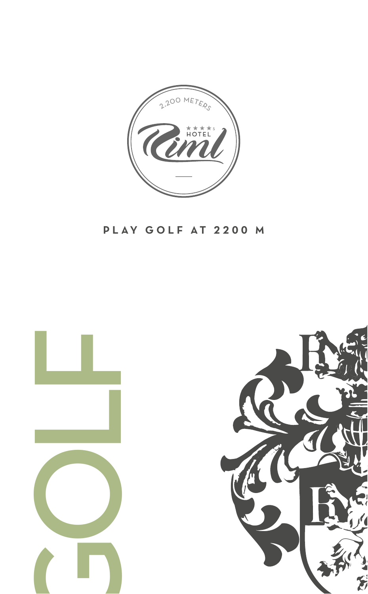

### PLAY GOLF AT 2200 M

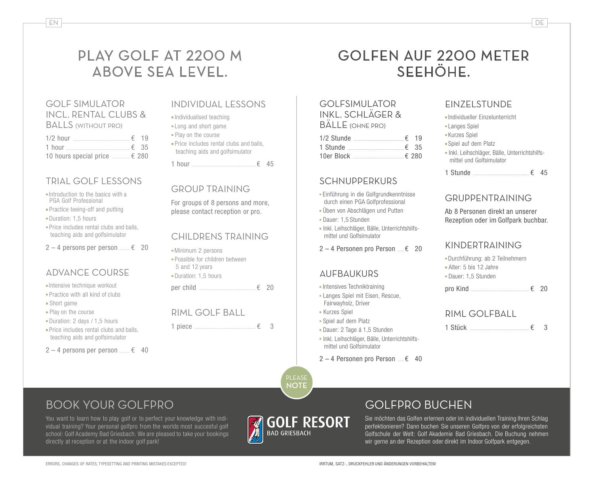# PLAY GOLF AT 2200 M ABOVE SEA LEVEL.

#### GOLF SIMULATOR INCL. RENTAL CLUBS & **BALLS (WITHOUT PRO)**

| $1/2$ hour $\epsilon$ 19      |  |
|-------------------------------|--|
| 1 hour $\epsilon$ 35          |  |
| 10 hours special price  € 280 |  |

#### TRIAL GOLF LESSONS

- $\blacksquare$ Introduction to the basics with a PGA Golf Professional
- Practice teeing-off and putting
- Duration: 1.5 hours
- $\blacksquare$  Price includes rental clubs and balls, teaching aids and golfsimulator
- $2 4$  persons per person  $\epsilon$  20

#### ADVANCE COURSE

- <sup>n</sup> Intensive technique workout
- **Practice with all kind of clubs**
- $\blacksquare$  Short game
- Play on the course
- Duration: 2 days / 1.5 hours
- $\blacksquare$  Price includes rental clubs and balls. teaching aids and golfsimulator
- $2 4$  persons per person  $\epsilon$  40

#### INDIVIDUAL LESSONS

- <sup>n</sup> Individualised teaching
- Long and short game
- Play on the course
- Price includes rental clubs and balls, teaching aids and golfsimulator

1 hour  $\epsilon$  45

#### GROUP TRAINING

For groups of 8 persons and more. please contact reception or pro.

#### CHILDRENS TRAINING

- Minimum 2 persons
- <sup>n</sup> Possible for children between 5 and 12 years
- Duration: 1.5 hours

per child  $\qquad \qquad$   $\qquad$   $\qquad$  20

1 piece  $\overline{6}$  3

# GOLFEN AUF 2200 METER SEEHÖHE.

#### GOLFSIMULATOR INKL. SCHLÄGER & BÄLLE (OHNE PRO)

| $1/2$ Stunde $\epsilon$ 19 |  |
|----------------------------|--|
|                            |  |
| 10er Block $\epsilon$ 280  |  |

#### **SCHNUPPERKURS**

- <sup>n</sup> Einführung in die Golfgrundkenntnisse durch einen PGA Golfprofessional
- <sup>n</sup> Üben von Abschlägen und Putten
- <sup>n</sup> Dauer: 1,5 Stunden
- <sup>n</sup> Inkl. Leihschläger, Bälle, Unterrichtshilfsmittel und Golfsimulator
- $2 4$  Personen pro Person  $\epsilon$  20

#### AUFBAUKURS

- <sup>n</sup> Intensives Techniktraining
- <sup>n</sup> Langes Spiel mit Eisen, Rescue, Fairwayholz, Driver
- **Kurzes Spiel**
- <sup>n</sup> Spiel auf dem Platz
- Dauer: 2 Tage á 1.5 Stunden
- <sup>n</sup> Inkl. Leihschläger, Bälle, Unterrichtshilfsmittel und Golfsimulator
- $2 4$  Personen pro Person  $\epsilon$  40

# EINZELSTUNDE

<sup>n</sup> Individueller Einzelunterricht **-Langes Spiel** 

- <sup>n</sup> Kurzes Spiel
- <sup>n</sup> Spiel auf dem Platz
- <sup>n</sup> Inkl. Leihschläger, Bälle, Unterrichtshilfsmittel und Golfsimulator
- 1 Stunde  $\epsilon$  45

#### **GDIIDDENTDAINING**

Ab 8 Personen direkt an unserer Rezeption oder im Golfpark buchbar.

#### KINDERTRAINING

<sup>n</sup> Durchführung: ab 2 Teilnehmern <sup>n</sup> Alter: 5 bis 12 Jahre <sup>n</sup> Dauer: 1,5 Stunden

pro Kind  $\epsilon$  20

#### RIML GOLFBALL

1 Stück  $\qquad \qquad \epsilon \quad 3$ 

BOOK YOUR GOLFPRO

directly at reception or at the indoor golf park!

You want to learn how to play golf or to perfect your knowledge with individual training? Your personal golfpro from the worlds most succesful golf school: Golf Academy Bad Griesbach. We are pleased to take your bookings

## GOLFPRO BUCHEN

Sie möchten das Golfen erlernen oder im individuellen Training Ihren Schlag perfektionieren? Dann buchen Sie unseren Golfpro von der erfolgreichsten Golfschule der Welt: Golf Akademie Bad Griesbach. Die Buchung nehmen wir gerne an der Rezeption oder direkt im Indoor Golfpark entgegen.

**PLEASE NOTE**